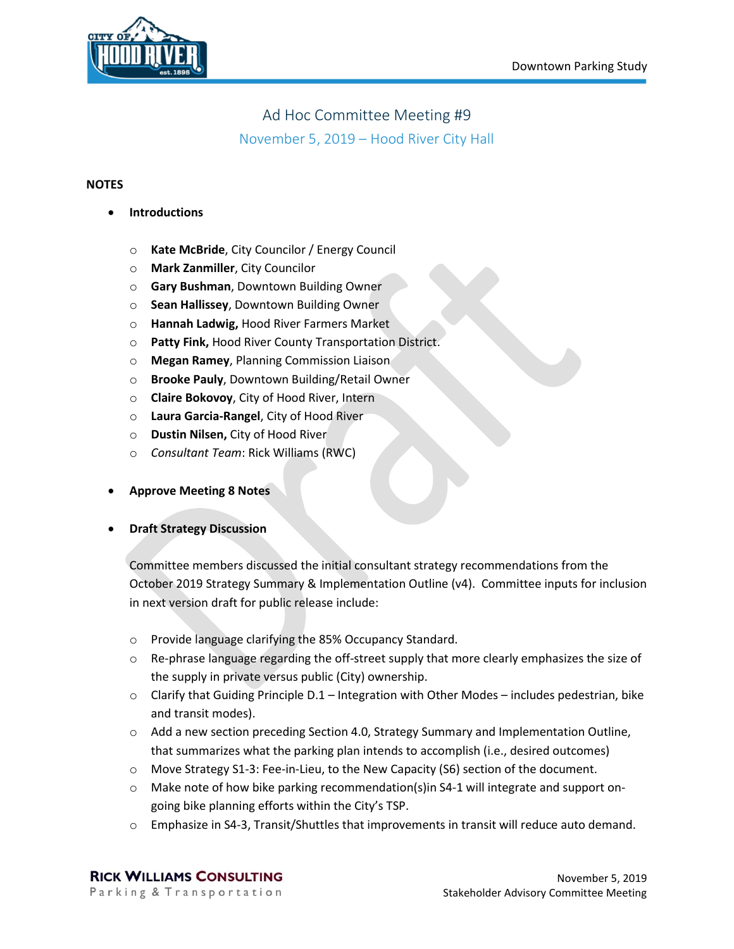

## Ad Hoc Committee Meeting #9

November 5, 2019 – Hood River City Hall

## **NOTES**

- **Introductions**
	- o **Kate McBride**, City Councilor / Energy Council
	- o **Mark Zanmiller**, City Councilor
	- o **Gary Bushman**, Downtown Building Owner
	- o **Sean Hallissey**, Downtown Building Owner
	- o **Hannah Ladwig,** Hood River Farmers Market
	- o **Patty Fink,** Hood River County Transportation District.
	- o **Megan Ramey**, Planning Commission Liaison
	- o **Brooke Pauly**, Downtown Building/Retail Owner
	- o **Claire Bokovoy**, City of Hood River, Intern
	- o **Laura Garcia-Rangel**, City of Hood River
	- o **Dustin Nilsen,** City of Hood River
	- o *Consultant Team*: Rick Williams (RWC)
- **Approve Meeting 8 Notes**
- **Draft Strategy Discussion**

Committee members discussed the initial consultant strategy recommendations from the October 2019 Strategy Summary & Implementation Outline (v4). Committee inputs for inclusion in next version draft for public release include:

- o Provide language clarifying the 85% Occupancy Standard.
- $\circ$  Re-phrase language regarding the off-street supply that more clearly emphasizes the size of the supply in private versus public (City) ownership.
- $\circ$  Clarify that Guiding Principle D.1 Integration with Other Modes includes pedestrian, bike and transit modes).
- $\circ$  Add a new section preceding Section 4.0, Strategy Summary and Implementation Outline, that summarizes what the parking plan intends to accomplish (i.e., desired outcomes)
- o Move Strategy S1-3: Fee-in-Lieu, to the New Capacity (S6) section of the document.
- o Make note of how bike parking recommendation(s)in S4-1 will integrate and support ongoing bike planning efforts within the City's TSP.
- o Emphasize in S4-3, Transit/Shuttles that improvements in transit will reduce auto demand.